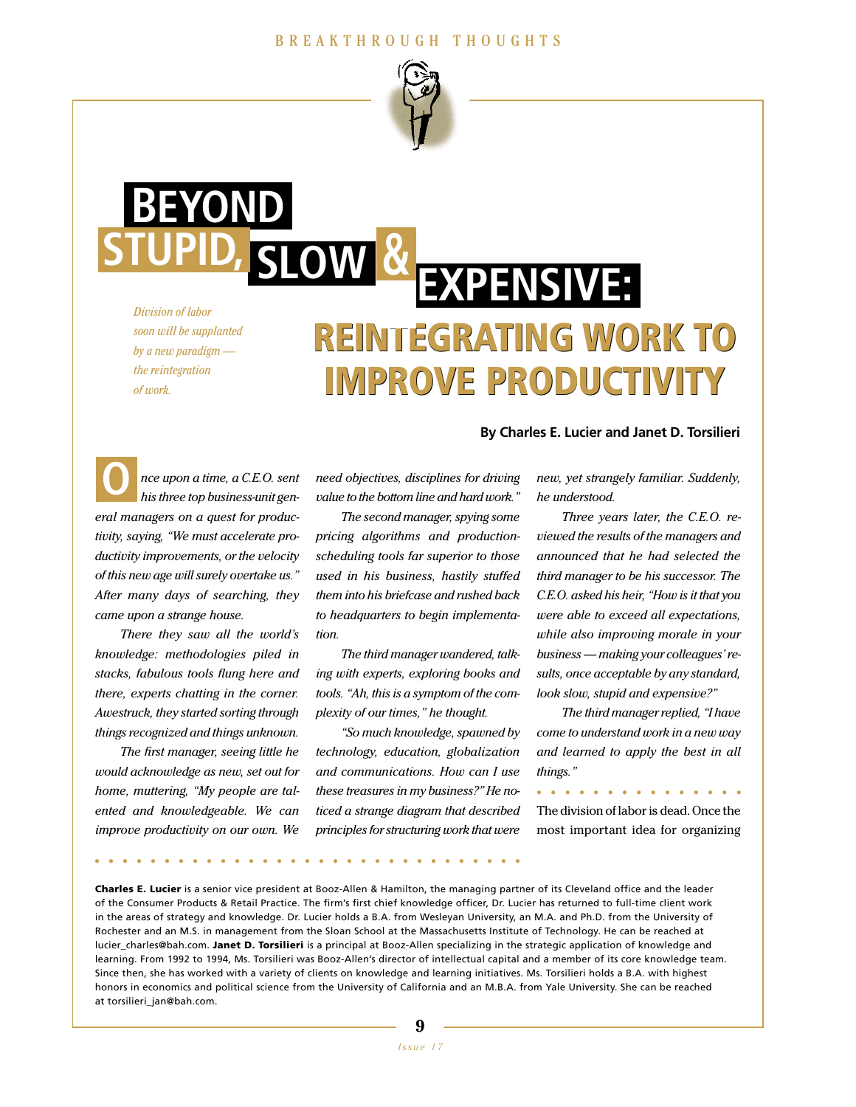#### BREAKTHROUGH THOUGHTS



*Division of labor soon will be supplanted by a new paradigm the reintegration of work.*

**BEYOND**

**SLOW STUPID, &**

# **REINTEGRATING WORK TO REINTEGRATING WORK TO IMPROVE PRODUCTIVIT EXPENSIVE:**

*nce upon a time, a C.E.O. sent his three top business-unit general managers on a quest for productivity, saying, "We must accelerate productivity improvements, or the velocity of this new age will surely overtake us." After many days of searching, they came upon a strange house.* **O**

*There they saw all the world's knowledge: methodologies piled in stacks, fabulous tools flung here and there, experts chatting in the corner. Awestruck, they started sorting through things recognized and things unknown.*

*The first manager, seeing little he would acknowledge as new, set out for home, muttering, "My people are talented and knowledgeable. We can improve productivity on our own. We*

*need objectives, disciplines for driving value to the bottom line and hard work."*

*The second manager, spying some pricing algorithms and productionscheduling tools far superior to those used in his business, hastily stuffed them into his briefcase and rushed back to headquarters to begin implementation.*

*The third manager wandered, talking with experts, exploring books and tools. "Ah, this is a symptom of the complexity of our times," he thought.*

*"So much knowledge, spawned by technology, education, globalization and communications. How can I use these treasures in my business?" He noticed a strange diagram that described principles for structuring work that were*

#### **By Charles E. Lucier and Janet D. Torsilieri**

*new, yet strangely familiar. Suddenly, he understood.* 

*Three years later, the C.E.O. reviewed the results of the managers and announced that he had selected the third manager to be his successor. The C.E.O. asked his heir, "How is it that you were able to exceed all expectations, while also improving morale in your business — making your colleagues' results, once acceptable by any standard, look slow, stupid and expensive?"*

*The third manager replied, "I have come to understand work in a new way and learned to apply the best in all things."*

The division of labor is dead. Once the most important idea for organizing **...............**

**...............................**

**Charles E. Lucier** is a senior vice president at Booz-Allen & Hamilton, the managing partner of its Cleveland office and the leader of the Consumer Products & Retail Practice. The firm's first chief knowledge officer, Dr. Lucier has returned to full-time client work in the areas of strategy and knowledge. Dr. Lucier holds a B.A. from Wesleyan University, an M.A. and Ph.D. from the University of Rochester and an M.S. in management from the Sloan School at the Massachusetts Institute of Technology. He can be reached at lucier\_charles@bah.com. **Janet D. Torsilieri** is a principal at Booz-Allen specializing in the strategic application of knowledge and learning. From 1992 to 1994, Ms. Torsilieri was Booz-Allen's director of intellectual capital and a member of its core knowledge team. Since then, she has worked with a variety of clients on knowledge and learning initiatives. Ms. Torsilieri holds a B.A. with highest honors in economics and political science from the University of California and an M.B.A. from Yale University. She can be reached at torsilieri\_jan@bah.com.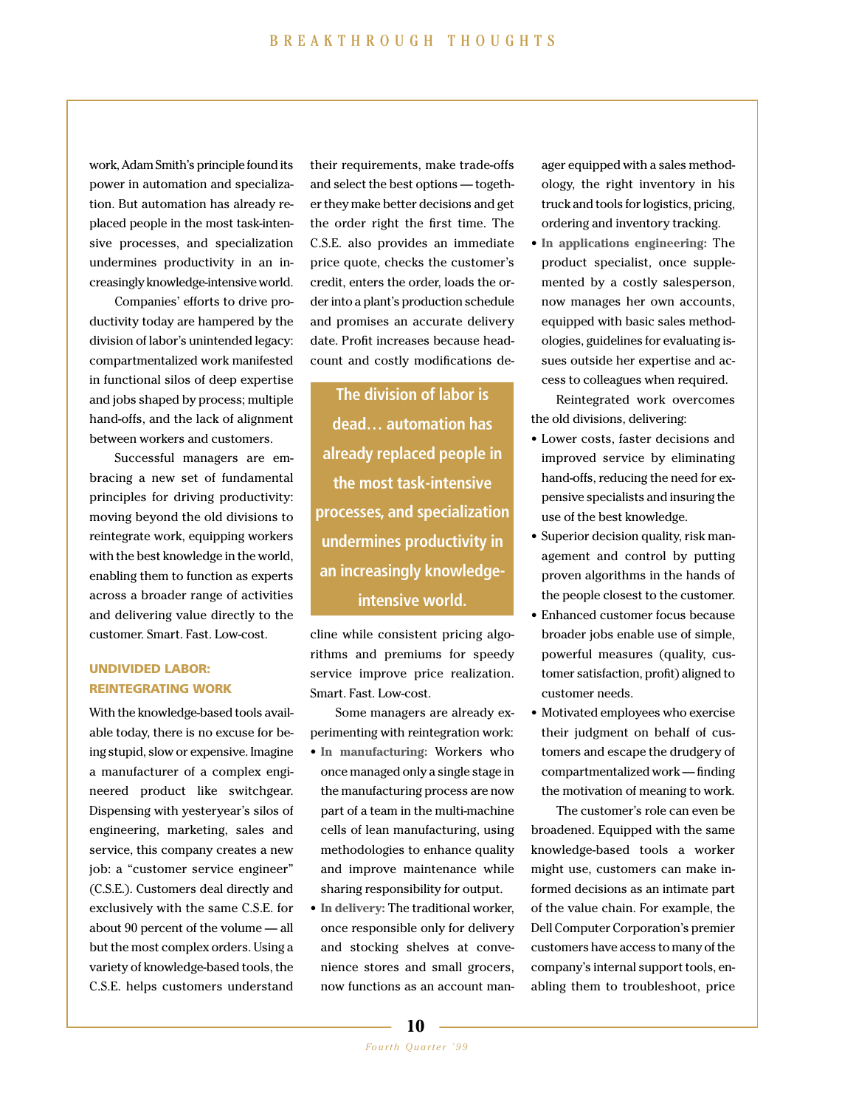work, Adam Smith's principle found its power in automation and specialization. But automation has already replaced people in the most task-intensive processes, and specialization undermines productivity in an increasingly knowledge-intensive world.

Companies' efforts to drive productivity today are hampered by the division of labor's unintended legacy: compartmentalized work manifested in functional silos of deep expertise and jobs shaped by process; multiple hand-offs, and the lack of alignment between workers and customers.

Successful managers are embracing a new set of fundamental principles for driving productivity: moving beyond the old divisions to reintegrate work, equipping workers with the best knowledge in the world, enabling them to function as experts across a broader range of activities and delivering value directly to the customer. Smart. Fast. Low-cost.

## **UNDIVIDED LABOR: REINTEGRATING WORK**

With the knowledge-based tools available today, there is no excuse for being stupid, slow or expensive. Imagine a manufacturer of a complex engineered product like switchgear. Dispensing with yesteryear's silos of engineering, marketing, sales and service, this company creates a new job: a "customer service engineer" (C.S.E.). Customers deal directly and exclusively with the same C.S.E. for about 90 percent of the volume — all but the most complex orders. Using a variety of knowledge-based tools, the C.S.E. helps customers understand their requirements, make trade-offs and select the best options — together they make better decisions and get the order right the first time. The C.S.E. also provides an immediate price quote, checks the customer's credit, enters the order, loads the order into a plant's production schedule and promises an accurate delivery date. Profit increases because headcount and costly modifications de-

**The division of labor is dead… automation has already replaced people in the most task-intensive processes, and specialization undermines productivity in an increasingly knowledgeintensive world.**

cline while consistent pricing algorithms and premiums for speedy service improve price realization. Smart. Fast. Low-cost.

Some managers are already experimenting with reintegration work:

- **In manufacturing:** Workers who once managed only a single stage in the manufacturing process are now part of a team in the multi-machine cells of lean manufacturing, using methodologies to enhance quality and improve maintenance while sharing responsibility for output.
- **In delivery:** The traditional worker, once responsible only for delivery and stocking shelves at convenience stores and small grocers, now functions as an account man-

ager equipped with a sales methodology, the right inventory in his truck and tools for logistics, pricing, ordering and inventory tracking.

• **In applications engineering:** The product specialist, once supplemented by a costly salesperson, now manages her own accounts, equipped with basic sales methodologies, guidelines for evaluating issues outside her expertise and access to colleagues when required.

Reintegrated work overcomes the old divisions, delivering:

- Lower costs, faster decisions and improved service by eliminating hand-offs, reducing the need for expensive specialists and insuring the use of the best knowledge.
- Superior decision quality, risk management and control by putting proven algorithms in the hands of the people closest to the customer.
- Enhanced customer focus because broader jobs enable use of simple, powerful measures (quality, customer satisfaction, profit) aligned to customer needs.
- Motivated employees who exercise their judgment on behalf of customers and escape the drudgery of compartmentalized work — finding the motivation of meaning to work.

The customer's role can even be broadened. Equipped with the same knowledge-based tools a worker might use, customers can make informed decisions as an intimate part of the value chain. For example, the Dell Computer Corporation's premier customers have access to many of the company's internal support tools, enabling them to troubleshoot, price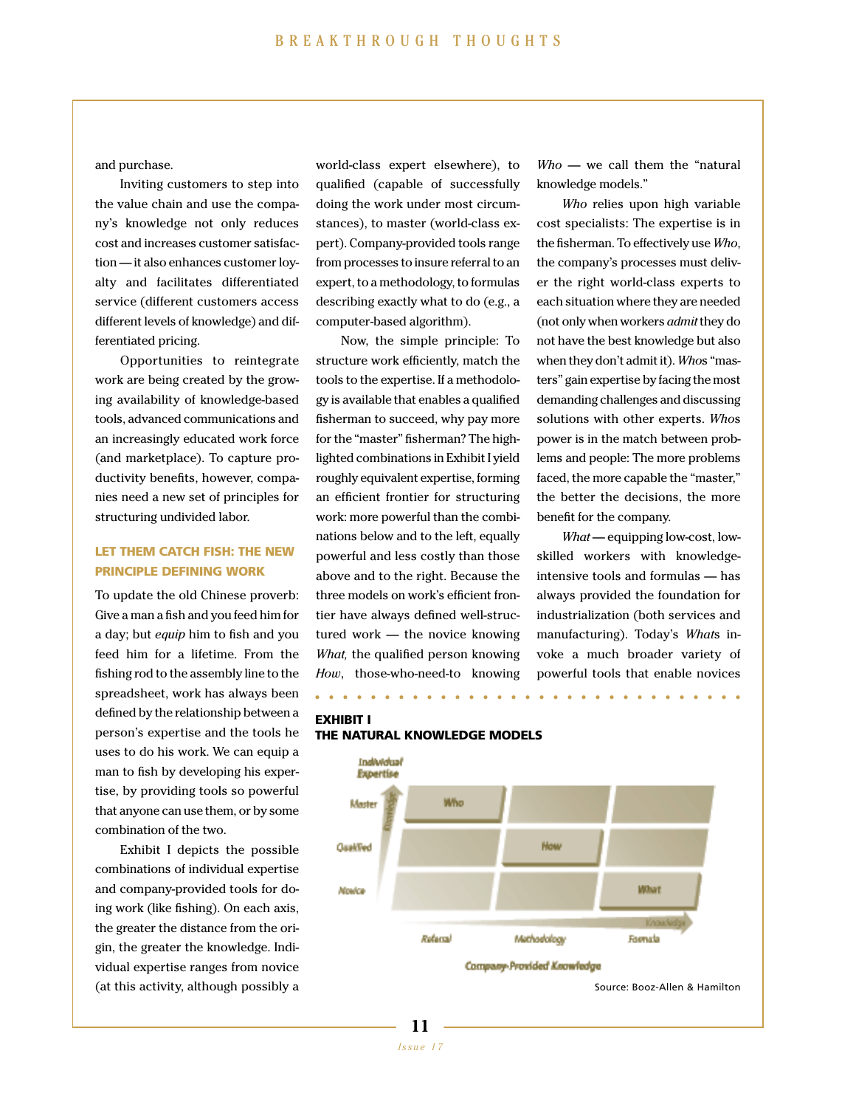and purchase.

Inviting customers to step into the value chain and use the company's knowledge not only reduces cost and increases customer satisfaction — it also enhances customer loyalty and facilitates differentiated service (different customers access different levels of knowledge) and differentiated pricing.

Opportunities to reintegrate work are being created by the growing availability of knowledge-based tools, advanced communications and an increasingly educated work force (and marketplace). To capture productivity benefits, however, companies need a new set of principles for structuring undivided labor.

#### **LET THEM CATCH FISH: THE NEW PRINCIPLE DEFINING WORK**

To update the old Chinese proverb: Give a man a fish and you feed him for a day; but *equip* him to fish and you feed him for a lifetime. From the fishing rod to the assembly line to the spreadsheet, work has always been defined by the relationship between a person's expertise and the tools he uses to do his work. We can equip a man to fish by developing his expertise, by providing tools so powerful that anyone can use them, or by some combination of the two.

Exhibit I depicts the possible combinations of individual expertise and company-provided tools for doing work (like fishing). On each axis, the greater the distance from the origin, the greater the knowledge. Individual expertise ranges from novice (at this activity, although possibly a

world-class expert elsewhere), to qualified (capable of successfully doing the work under most circumstances), to master (world-class expert). Company-provided tools range from processes to insure referral to an expert, to a methodology, to formulas describing exactly what to do (e.g., a computer-based algorithm).

Now, the simple principle: To structure work efficiently, match the tools to the expertise. If a methodology is available that enables a qualified fisherman to succeed, why pay more for the "master" fisherman? The highlighted combinations in Exhibit I yield roughly equivalent expertise, forming an efficient frontier for structuring work: more powerful than the combinations below and to the left, equally powerful and less costly than those above and to the right. Because the three models on work's efficient frontier have always defined well-structured work — the novice knowing *What,* the qualified person knowing *How*, those-who-need-to knowing **...............................**

*Who* — we call them the "natural knowledge models."

*Who* relies upon high variable cost specialists: The expertise is in the fisherman. To effectively use *Who*, the company's processes must deliver the right world-class experts to each situation where they are needed (not only when workers *admit*they do not have the best knowledge but also when they don't admit it). *Who*s "masters" gain expertise by facing the most demanding challenges and discussing solutions with other experts. *Who*s power is in the match between problems and people: The more problems faced, the more capable the "master," the better the decisions, the more benefit for the company.

*What* — equipping low-cost, lowskilled workers with knowledgeintensive tools and formulas — has always provided the foundation for industrialization (both services and manufacturing). Today's *What*s invoke a much broader variety of powerful tools that enable novices



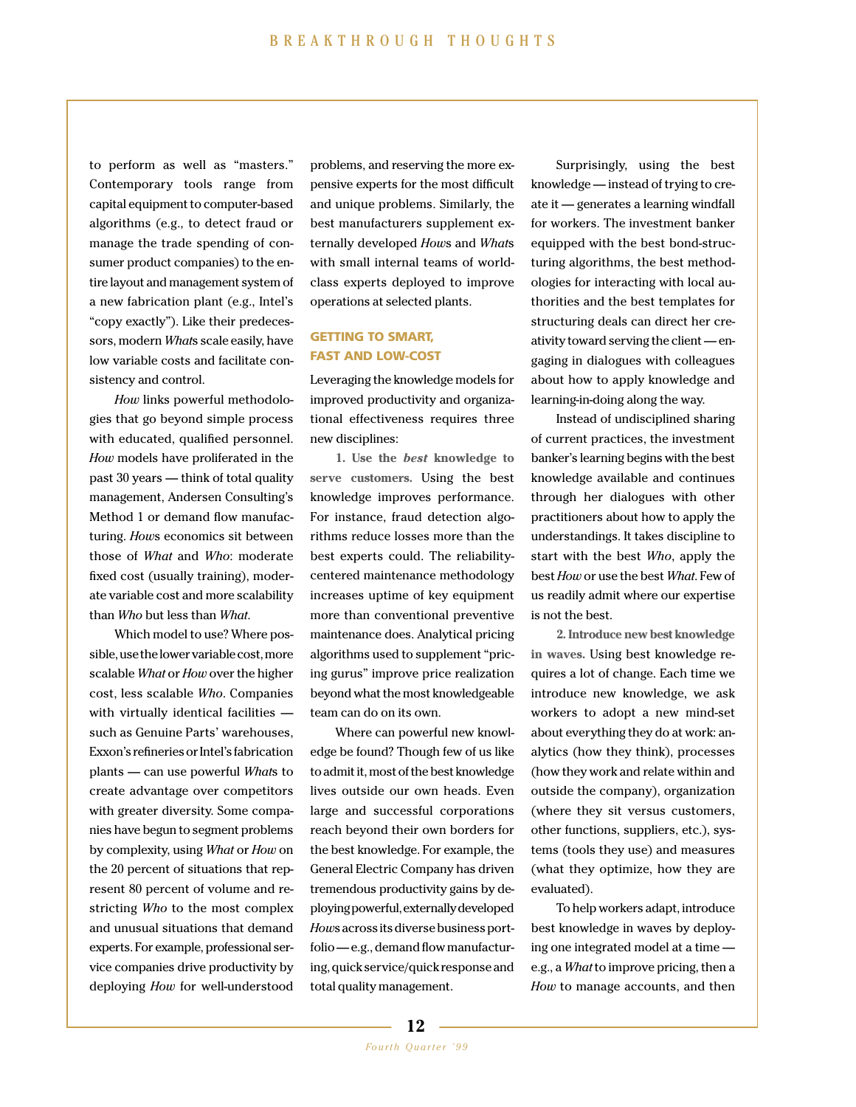to perform as well as "masters." Contemporary tools range from capital equipment to computer-based algorithms (e.g., to detect fraud or manage the trade spending of consumer product companies) to the entire layout and management system of a new fabrication plant (e.g., Intel's "copy exactly"). Like their predecessors, modern *What*s scale easily, have low variable costs and facilitate consistency and control.

*How* links powerful methodologies that go beyond simple process with educated, qualified personnel. *How* models have proliferated in the past 30 years — think of total quality management, Andersen Consulting's Method 1 or demand flow manufacturing. *How*s economics sit between those of *What* and *Who*: moderate fixed cost (usually training), moderate variable cost and more scalability than *Who* but less than *What*.

Which model to use? Where possible,usethelowervariablecost,more scalable *What* or *How* over the higher cost, less scalable *Who*. Companies with virtually identical facilities such as Genuine Parts' warehouses, Exxon's refineries or Intel's fabrication plants — can use powerful *What*s to create advantage over competitors with greater diversity. Some companies have begun to segment problems by complexity, using *What* or *How* on the 20 percent of situations that represent 80 percent of volume and restricting *Who* to the most complex and unusual situations that demand experts. For example, professional service companies drive productivity by deploying *How* for well-understood

problems, and reserving the more expensive experts for the most difficult and unique problems. Similarly, the best manufacturers supplement externally developed *How*s and *What*s with small internal teams of worldclass experts deployed to improve operations at selected plants.

## **GETTING TO SMART, FAST AND LOW-COST**

Leveraging the knowledge models for improved productivity and organizational effectiveness requires three new disciplines:

**1. Use the** *best* **knowledge to serve customers.** Using the best knowledge improves performance. For instance, fraud detection algorithms reduce losses more than the best experts could. The reliabilitycentered maintenance methodology increases uptime of key equipment more than conventional preventive maintenance does. Analytical pricing algorithms used to supplement "pricing gurus" improve price realization beyond what the most knowledgeable team can do on its own.

Where can powerful new knowledge be found? Though few of us like to admit it, most of the best knowledge lives outside our own heads. Even large and successful corporations reach beyond their own borders for the best knowledge. For example, the General Electric Company has driven tremendous productivity gains by deployingpowerful,externallydeveloped *Hows* across its diverse business portfolio — e.g., demand flow manufacturing,quickservice/quickresponseand total quality management.

Surprisingly, using the best knowledge — instead of trying to create it — generates a learning windfall for workers. The investment banker equipped with the best bond-structuring algorithms, the best methodologies for interacting with local authorities and the best templates for structuring deals can direct her creativity toward serving the client — engaging in dialogues with colleagues about how to apply knowledge and learning-in-doing along the way.

Instead of undisciplined sharing of current practices, the investment banker's learning begins with the best knowledge available and continues through her dialogues with other practitioners about how to apply the understandings. It takes discipline to start with the best *Who*, apply the best *How* or use the best *What*. Few of us readily admit where our expertise is not the best.

**2. Introduce new best knowledge in waves.** Using best knowledge requires a lot of change. Each time we introduce new knowledge, we ask workers to adopt a new mind-set about everything they do at work: analytics (how they think), processes (how they work and relate within and outside the company), organization (where they sit versus customers, other functions, suppliers, etc.), systems (tools they use) and measures (what they optimize, how they are evaluated).

To help workers adapt, introduce best knowledge in waves by deploying one integrated model at a time e.g., a *What*to improve pricing, then a *How* to manage accounts, and then